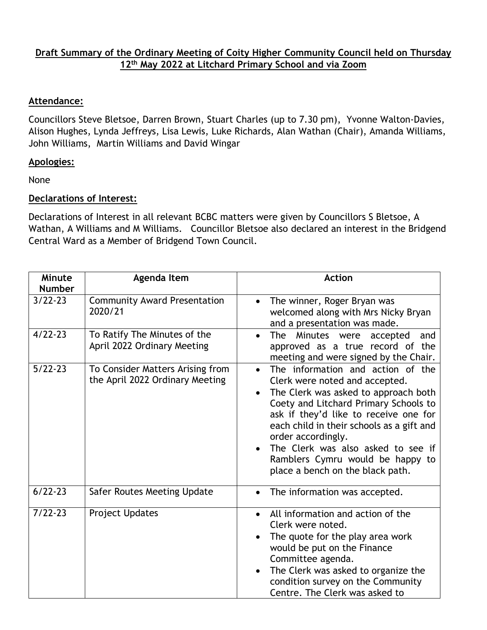## **Draft Summary of the Ordinary Meeting of Coity Higher Community Council held on Thursday 12th May 2022 at Litchard Primary School and via Zoom**

## **Attendance:**

Councillors Steve Bletsoe, Darren Brown, Stuart Charles (up to 7.30 pm), Yvonne Walton-Davies, Alison Hughes, Lynda Jeffreys, Lisa Lewis, Luke Richards, Alan Wathan (Chair), Amanda Williams, John Williams, Martin Williams and David Wingar

## **Apologies:**

None

## **Declarations of Interest:**

Declarations of Interest in all relevant BCBC matters were given by Councillors S Bletsoe, A Wathan, A Williams and M Williams. Councillor Bletsoe also declared an interest in the Bridgend Central Ward as a Member of Bridgend Town Council.

| Minute<br><b>Number</b> | Agenda Item                                                         | <b>Action</b>                                                                                                                                                                                                                                                                                                                                                                               |
|-------------------------|---------------------------------------------------------------------|---------------------------------------------------------------------------------------------------------------------------------------------------------------------------------------------------------------------------------------------------------------------------------------------------------------------------------------------------------------------------------------------|
| $3/22 - 23$             | <b>Community Award Presentation</b><br>2020/21                      | The winner, Roger Bryan was<br>$\bullet$<br>welcomed along with Mrs Nicky Bryan<br>and a presentation was made.                                                                                                                                                                                                                                                                             |
| $4/22 - 23$             | To Ratify The Minutes of the<br>April 2022 Ordinary Meeting         | The<br>Minutes were<br>accepted<br>and<br>$\bullet$<br>approved as a true record of the<br>meeting and were signed by the Chair.                                                                                                                                                                                                                                                            |
| $5/22-23$               | To Consider Matters Arising from<br>the April 2022 Ordinary Meeting | The information and action of the<br>$\bullet$<br>Clerk were noted and accepted.<br>The Clerk was asked to approach both<br>Coety and Litchard Primary Schools to<br>ask if they'd like to receive one for<br>each child in their schools as a gift and<br>order accordingly.<br>The Clerk was also asked to see if<br>Ramblers Cymru would be happy to<br>place a bench on the black path. |
| $6/22 - 23$             | Safer Routes Meeting Update                                         | The information was accepted.                                                                                                                                                                                                                                                                                                                                                               |
| $7/22 - 23$             | <b>Project Updates</b>                                              | All information and action of the<br>$\bullet$<br>Clerk were noted.<br>The quote for the play area work<br>would be put on the Finance<br>Committee agenda.<br>The Clerk was asked to organize the<br>$\bullet$<br>condition survey on the Community<br>Centre. The Clerk was asked to                                                                                                      |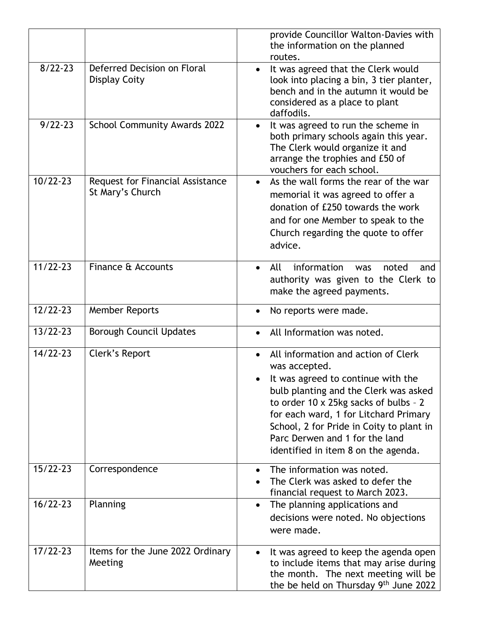|              |                                                      | provide Councillor Walton-Davies with<br>the information on the planned<br>routes.                                                                                                                                                                                                                                                                                   |
|--------------|------------------------------------------------------|----------------------------------------------------------------------------------------------------------------------------------------------------------------------------------------------------------------------------------------------------------------------------------------------------------------------------------------------------------------------|
| $8/22 - 23$  | Deferred Decision on Floral<br><b>Display Coity</b>  | It was agreed that the Clerk would<br>$\bullet$<br>look into placing a bin, 3 tier planter,<br>bench and in the autumn it would be<br>considered as a place to plant<br>daffodils.                                                                                                                                                                                   |
| $9/22 - 23$  | School Community Awards 2022                         | It was agreed to run the scheme in<br>$\bullet$<br>both primary schools again this year.<br>The Clerk would organize it and<br>arrange the trophies and £50 of<br>vouchers for each school.                                                                                                                                                                          |
| $10/22 - 23$ | Request for Financial Assistance<br>St Mary's Church | As the wall forms the rear of the war<br>$\bullet$<br>memorial it was agreed to offer a<br>donation of £250 towards the work<br>and for one Member to speak to the<br>Church regarding the quote to offer<br>advice.                                                                                                                                                 |
| $11/22 - 23$ | Finance & Accounts                                   | information<br>All<br>noted<br>$\bullet$<br>was<br>and<br>authority was given to the Clerk to<br>make the agreed payments.                                                                                                                                                                                                                                           |
| $12/22 - 23$ | <b>Member Reports</b>                                | No reports were made.<br>$\bullet$                                                                                                                                                                                                                                                                                                                                   |
| $13/22 - 23$ | <b>Borough Council Updates</b>                       | All Information was noted.<br>$\bullet$                                                                                                                                                                                                                                                                                                                              |
| $14/22 - 23$ | Clerk's Report                                       | All information and action of Clerk<br>$\bullet$<br>was accepted.<br>It was agreed to continue with the<br>$\bullet$<br>bulb planting and the Clerk was asked<br>to order 10 x 25kg sacks of bulbs - 2<br>for each ward, 1 for Litchard Primary<br>School, 2 for Pride in Coity to plant in<br>Parc Derwen and 1 for the land<br>identified in item 8 on the agenda. |
| $15/22 - 23$ | Correspondence                                       | The information was noted.<br>$\bullet$<br>The Clerk was asked to defer the<br>financial request to March 2023.                                                                                                                                                                                                                                                      |
| $16/22 - 23$ | Planning                                             | The planning applications and<br>$\bullet$<br>decisions were noted. No objections<br>were made.                                                                                                                                                                                                                                                                      |
| $17/22 - 23$ | Items for the June 2022 Ordinary<br>Meeting          | It was agreed to keep the agenda open<br>$\bullet$<br>to include items that may arise during<br>the month. The next meeting will be<br>the be held on Thursday $9th$ June 2022                                                                                                                                                                                       |